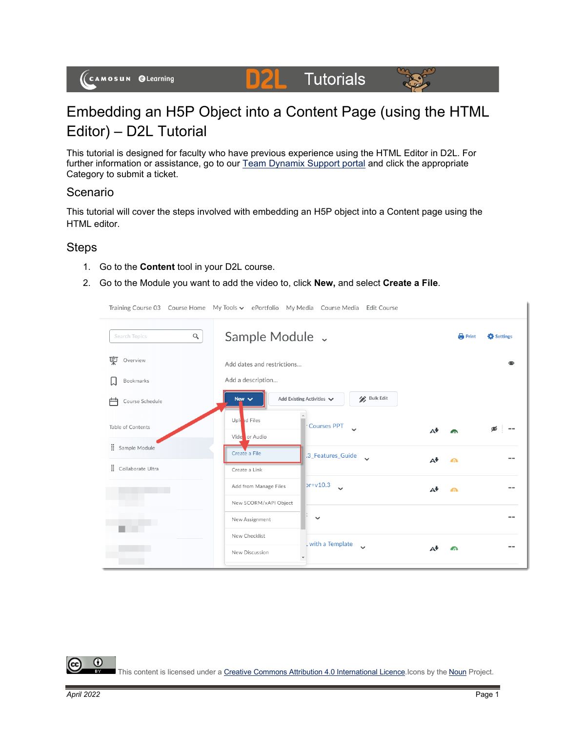#### **Tutorials D2L**



# Embedding an H5P Object into a Content Page (using the HTML Editor) – D2L Tutorial

This tutorial is designed for faculty who have previous experience using the HTML Editor in D2L. For further information or assistance, go to our [Team Dynamix Support portal](https://camosun.teamdynamix.com/TDClient/67/Portal/Requests/ServiceCatalog?CategoryID=523) and click the appropriate Category to submit a ticket.

## Scenario

This tutorial will cover the steps involved with embedding an H5P object into a Content page using the HTML editor.

#### Steps

- 1. Go to the **Content** tool in your D2L course.
- 2. Go to the Module you want to add the video to, click **New,** and select **Create a File**.

Training Course 03 Course Home My Tools v ePortfolio My Media Course Media Edit Course

Sample Module v  $\mathsf{Q}$ Search Topics  $\bigoplus$  Print **C** Settings Overview  $\bullet$ Add dates and restrictions... Bookmarks Add a description... Bulk Edit Add Existing Activities  $\blacktriangleright$ New  $\vee$ Course Schedule Upl ad Files Courses PPT Table of Contents  $\overline{\phantom{a}}$ Δ₩ Vide or Audio : Sample Module Create a File .3\_Features\_Guide A<sup>+</sup>  $\bullet$ Collaborate Ultra Create a Link  $pr+v10.3$ Add from Manage Files Aŧ  $\bullet$ New SCORM/xAPI Object New Assignment  $\checkmark$ ۰ New Checklist with a Template A<sup>+</sup>  $\Omega$ New Discussion

This content is licensed under [a Creative Commons Attribution 4.0 International Licence.I](https://creativecommons.org/licenses/by/4.0/)cons by the [Noun](https://creativecommons.org/website-icons/) Project.

 $\odot$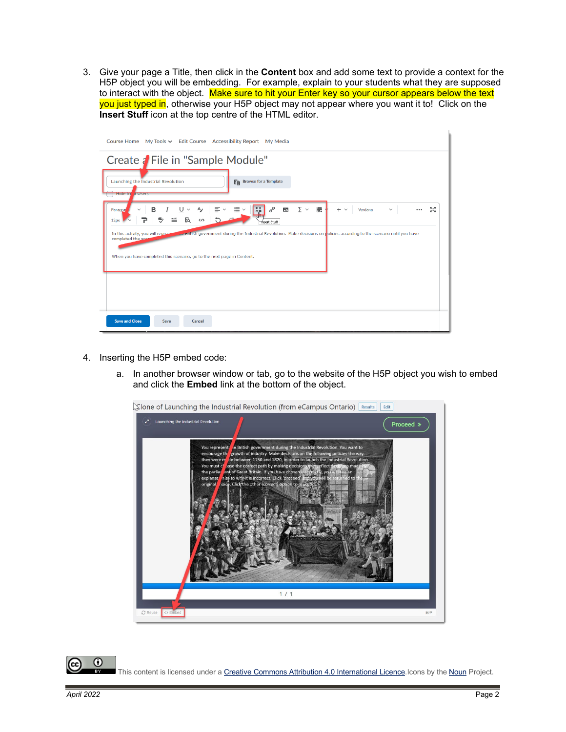3. Give your page a Title, then click in the **Content** box and add some text to provide a context for the H5P object you will be embedding. For example, explain to your students what they are supposed to interact with the object. Make sure to hit your Enter key so your cursor appears below the text you just typed in, otherwise your H5P object may not appear where you want it to! Click on the **Insert Stuff** icon at the top centre of the HTML editor.

| Course Home My Tools v Edit Course Accessibility Report My Media                                                                                                                                                                                                                                                                                                                                                                                                                                                          |
|---------------------------------------------------------------------------------------------------------------------------------------------------------------------------------------------------------------------------------------------------------------------------------------------------------------------------------------------------------------------------------------------------------------------------------------------------------------------------------------------------------------------------|
| Create a File in "Sample Module"<br>En Browse for a Template<br>Launching the Industrial Revolution<br><b>Hide fre</b><br><b>n</b> Users                                                                                                                                                                                                                                                                                                                                                                                  |
| 剛<br>≌ ∽<br>್<br>騍<br>5ő<br>≣ ~<br>$\mathbf{E}$<br>$\overline{\Sigma}$ $\sim$<br>в<br>A,<br>$+$ $\vee$<br>Verdana<br>$\checkmark$<br>$\checkmark$<br>Paragra<br>$\checkmark$<br><br>am<br>$\equiv$<br>Eq<br>$\langle \rangle$<br>12px<br>Thsert Stuff<br>we untish government during the Industrial Revolution. Make decisions on policies according to the scenario until you have<br>In this activity, you will represe<br>completed the scar<br>When you have completed this scenario, go to the next page in Content. |
| <b>Save and Close</b><br>Save<br>Cancel                                                                                                                                                                                                                                                                                                                                                                                                                                                                                   |

- 4. Inserting the H5P embed code:
	- a. In another browser window or tab, go to the website of the H5P object you wish to embed and click the **Embed** link at the bottom of the object.



 $\odot$ This content is licensed under [a Creative Commons Attribution 4.0 International Licence.I](https://creativecommons.org/licenses/by/4.0/)cons by the [Noun](https://creativecommons.org/website-icons/) Project.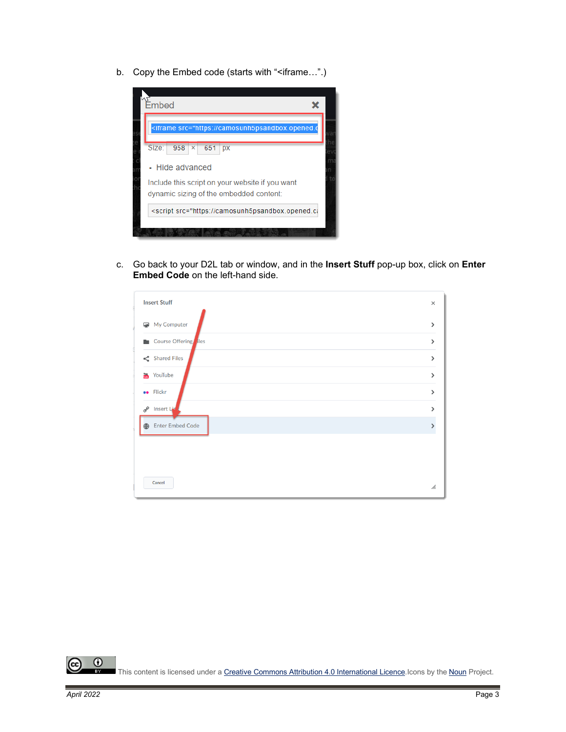b. Copy the Embed code (starts with "<iframe...".)



c. Go back to your D2L tab or window, and in the **Insert Stuff** pop-up box, click on **Enter Embed Code** on the left-hand side.

| <b>Insert Stuff</b>        | $\times$              |
|----------------------------|-----------------------|
| My Computer                | $\rightarrow$         |
| Course Offering iles<br>۰. | $\mathcal{P}$         |
| $\leq$ Shared Files        | $\mathbf{\mathbf{z}}$ |
| <b>TOU YouTube</b>         | >                     |
| <b>ee</b> Flickr           | $\mathbf{\mathbf{z}}$ |
| <b>Insert Lid</b><br>o     | >                     |
| <b>Enter Embed Code</b>    |                       |
|                            |                       |
|                            |                       |
| Cancel                     | //.                   |

 $\overline{0}$ rc. This content is licensed under a Creative Commons Attribution 4.0 International Licence Icons by the [Noun](https://creativecommons.org/website-icons/) Project.